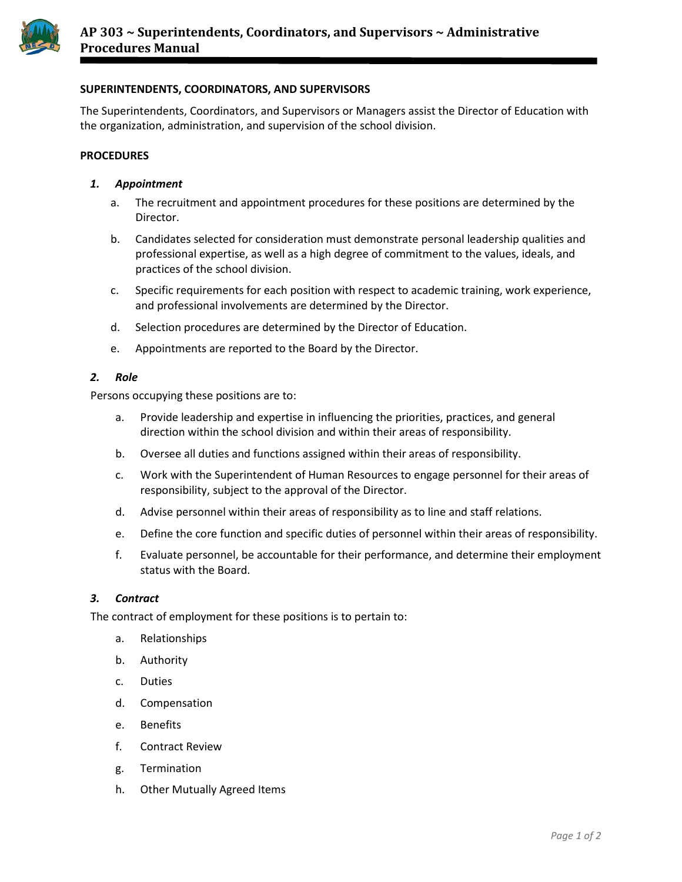

# **SUPERINTENDENTS, COORDINATORS, AND SUPERVISORS**

The Superintendents, Coordinators, and Supervisors or Managers assist the Director of Education with the organization, administration, and supervision of the school division.

#### **PROCEDURES**

### *1. Appointment*

- a. The recruitment and appointment procedures for these positions are determined by the Director.
- b. Candidates selected for consideration must demonstrate personal leadership qualities and professional expertise, as well as a high degree of commitment to the values, ideals, and practices of the school division.
- c. Specific requirements for each position with respect to academic training, work experience, and professional involvements are determined by the Director.
- d. Selection procedures are determined by the Director of Education.
- e. Appointments are reported to the Board by the Director.

### *2. Role*

Persons occupying these positions are to:

- a. Provide leadership and expertise in influencing the priorities, practices, and general direction within the school division and within their areas of responsibility.
- b. Oversee all duties and functions assigned within their areas of responsibility.
- c. Work with the Superintendent of Human Resources to engage personnel for their areas of responsibility, subject to the approval of the Director.
- d. Advise personnel within their areas of responsibility as to line and staff relations.
- e. Define the core function and specific duties of personnel within their areas of responsibility.
- f. Evaluate personnel, be accountable for their performance, and determine their employment status with the Board.

### *3. Contract*

The contract of employment for these positions is to pertain to:

- a. Relationships
- b. Authority
- c. Duties
- d. Compensation
- e. Benefits
- f. Contract Review
- g. Termination
- h. Other Mutually Agreed Items